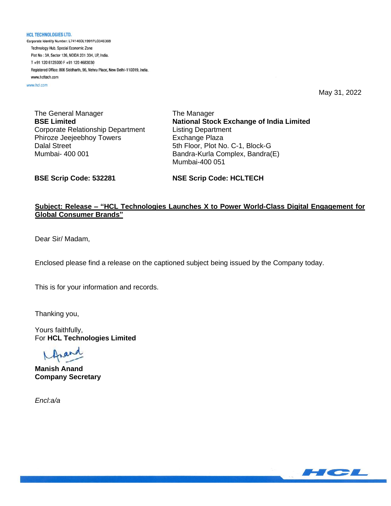**HCL TECHNOLOGIES LTD.** Corporate Identity Number: L74140DL1991PLC046369 Technology Hub, Special Economic Zone Plot No: 3A, Sector 126, NOIDA 201 304, UP, India. T+91 120 6125000 F+91 120 4683030 Registered Office: 806 Siddharth, 96, Nehru Place, New Delhi-110019, India. www.hcltech.com

www.hcl.com

May 31, 2022

The General Manager **BSE Limited** Corporate Relationship Department Phiroze Jeejeebhoy Towers Dalal Street Mumbai- 400 001

The Manager **National Stock Exchange of India Limited** Listing Department Exchange Plaza 5th Floor, Plot No. C-1, Block-G Bandra-Kurla Complex, Bandra(E) Mumbai-400 051

**BSE Scrip Code: 532281**

**NSE Scrip Code: HCLTECH**

### **Subject: Release – "HCL Technologies Launches X to Power World-Class Digital Engagement for Global Consumer Brands"**

Dear Sir/ Madam,

Enclosed please find a release on the captioned subject being issued by the Company today.

This is for your information and records.

Thanking you,

Yours faithfully, For **HCL Technologies Limited**

**Manish Anand Company Secretary**

*Encl:a/a*

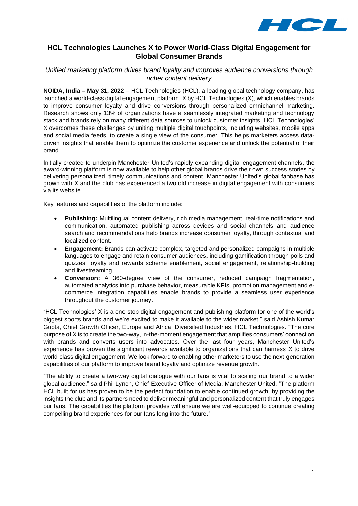

# **HCL Technologies Launches X to Power World-Class Digital Engagement for Global Consumer Brands**

## *Unified marketing platform drives brand loyalty and improves audience conversions through richer content delivery*

**NOIDA, India – May 31, 2022** – HCL Technologies (HCL), a leading global technology company, has launched a world-class digital engagement platform, X by HCL Technologies (X), which enables brands to improve consumer loyalty and drive conversions through personalized omnichannel marketing. Research shows only 13% of organizations have a seamlessly integrated marketing and technology stack and brands rely on many different data sources to unlock customer insights. HCL Technologies' X overcomes these challenges by uniting multiple digital touchpoints, including websites, mobile apps and social media feeds, to create a single view of the consumer. This helps marketers access datadriven insights that enable them to optimize the customer experience and unlock the potential of their brand.

Initially created to underpin Manchester United's rapidly expanding digital engagement channels, the award-winning platform is now available to help other global brands drive their own success stories by delivering personalized, timely communications and content. Manchester United's global fanbase has grown with X and the club has experienced a twofold increase in digital engagement with consumers via its website.

Key features and capabilities of the platform include:

- **Publishing:** Multilingual content delivery, rich media management, real-time notifications and communication, automated publishing across devices and social channels and audience search and recommendations help brands increase consumer loyalty, through contextual and localized content.
- **Engagement:** Brands can activate complex, targeted and personalized campaigns in multiple languages to engage and retain consumer audiences, including gamification through polls and quizzes, loyalty and rewards scheme enablement, social engagement, relationship-building and livestreaming.
- **Conversion:** A 360-degree view of the consumer, reduced campaign fragmentation, automated analytics into purchase behavior, measurable KPIs, promotion management and ecommerce integration capabilities enable brands to provide a seamless user experience throughout the customer journey.

"HCL Technologies' X is a one-stop digital engagement and publishing platform for one of the world's biggest sports brands and we're excited to make it available to the wider market," said Ashish Kumar Gupta, Chief Growth Officer, Europe and Africa, Diversified Industries, HCL Technologies. "The core purpose of X is to create the two-way, in-the-moment engagement that amplifies consumers' connection with brands and converts users into advocates. Over the last four years, Manchester United's experience has proven the significant rewards available to organizations that can harness X to drive world-class digital engagement. We look forward to enabling other marketers to use the next-generation capabilities of our platform to improve brand loyalty and optimize revenue growth."

"The ability to create a two-way digital dialogue with our fans is vital to scaling our brand to a wider global audience," said Phil Lynch, Chief Executive Officer of Media, Manchester United. "The platform HCL built for us has proven to be the perfect foundation to enable continued growth, by providing the insights the club and its partners need to deliver meaningful and personalized content that truly engages our fans. The capabilities the platform provides will ensure we are well-equipped to continue creating compelling brand experiences for our fans long into the future."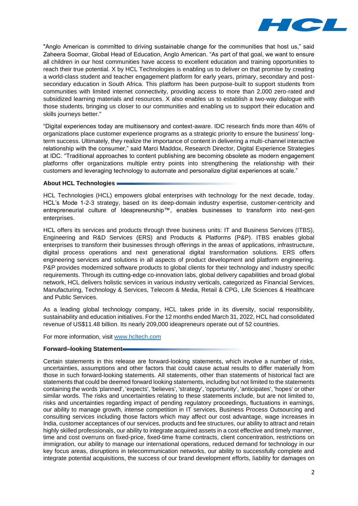

"Anglo American is committed to driving sustainable change for the communities that host us," said Zaheera Soomar, Global Head of Education, Anglo American. "As part of that goal, we want to ensure all children in our host communities have access to excellent education and training opportunities to reach their true potential. X by HCL Technologies is enabling us to deliver on that promise by creating a world-class student and teacher engagement platform for early years, primary, secondary and postsecondary education in South Africa. This platform has been purpose-built to support students from communities with limited internet connectivity, providing access to more than 2,000 zero-rated and subsidized learning materials and resources. X also enables us to establish a two-way dialogue with those students, bringing us closer to our communities and enabling us to support their education and skills journeys better."

"Digital experiences today are multisensory and context-aware. IDC research finds more than 46% of organizations place customer experience programs as a strategic priority to ensure the business' longterm success. Ultimately, they realize the importance of content in delivering a multi-channel interactive relationship with the consumer," said Marci Maddox, Research Director, Digital Experience Strategies at IDC. "Traditional approaches to content publishing are becoming obsolete as modern engagement platforms offer organizations multiple entry points into strengthening the relationship with their customers and leveraging technology to automate and personalize digital experiences at scale."

### **About HCL Technologies**

HCL Technologies (HCL) empowers global enterprises with technology for the next decade, today. HCL's Mode 1-2-3 strategy, based on its deep-domain industry expertise, customer-centricity and entrepreneurial culture of Ideapreneurship™, enables businesses to transform into next-gen enterprises.

HCL offers its services and products through three business units: IT and Business Services (ITBS), Engineering and R&D Services (ERS) and Products & Platforms (P&P). ITBS enables global enterprises to transform their businesses through offerings in the areas of applications, infrastructure, digital process operations and next generational digital transformation solutions. ERS offers engineering services and solutions in all aspects of product development and platform engineering. P&P provides modernized software products to global clients for their technology and industry specific requirements. Through its cutting-edge co-innovation labs, global delivery capabilities and broad global network, HCL delivers holistic services in various industry verticals, categorized as Financial Services, Manufacturing, Technology & Services, Telecom & Media, Retail & CPG, Life Sciences & Healthcare and Public Services.

As a leading global technology company, HCL takes pride in its diversity, social responsibility, sustainability and education initiatives. For the 12 months ended March 31, 2022, HCL had consolidated revenue of US\$11.48 billion. Its nearly 209,000 ideapreneurs operate out of 52 countries.

For more information, visit [www.hcltech.com](http://www.hcltech.com/)

### **Forward–looking Statement**

Certain statements in this release are forward-looking statements, which involve a number of risks, uncertainties, assumptions and other factors that could cause actual results to differ materially from those in such forward-looking statements. All statements, other than statements of historical fact are statements that could be deemed forward looking statements, including but not limited to the statements containing the words 'planned', 'expects', 'believes', 'strategy', 'opportunity', 'anticipates', 'hopes' or other similar words. The risks and uncertainties relating to these statements include, but are not limited to, risks and uncertainties regarding impact of pending regulatory proceedings, fluctuations in earnings, our ability to manage growth, intense competition in IT services, Business Process Outsourcing and consulting services including those factors which may affect our cost advantage, wage increases in India, customer acceptances of our services, products and fee structures, our ability to attract and retain highly skilled professionals, our ability to integrate acquired assets in a cost effective and timely manner, time and cost overruns on fixed-price, fixed-time frame contracts, client concentration, restrictions on immigration, our ability to manage our international operations, reduced demand for technology in our key focus areas, disruptions in telecommunication networks, our ability to successfully complete and integrate potential acquisitions, the success of our brand development efforts, liability for damages on